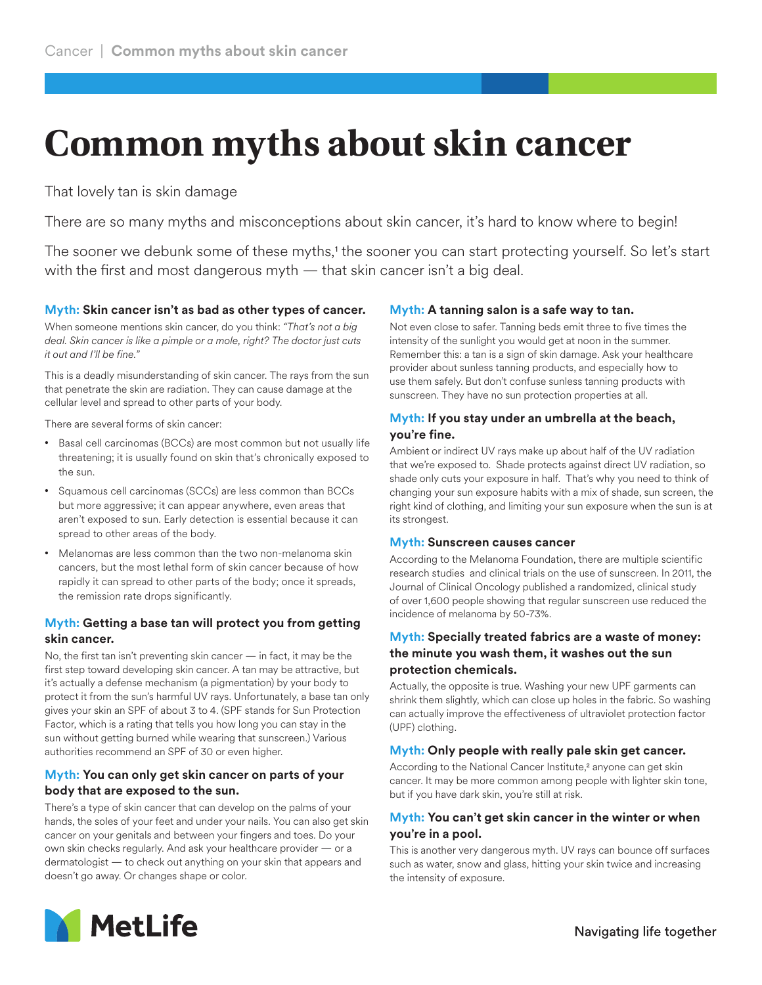# **Common myths about skin cancer**

That lovely tan is skin damage

There are so many myths and misconceptions about skin cancer, it's hard to know where to begin!

The sooner we debunk some of these myths,<sup>1</sup> the sooner you can start protecting yourself. So let's start with the first and most dangerous myth — that skin cancer isn't a big deal.

#### **Myth: Skin cancer isn't as bad as other types of cancer.**

When someone mentions skin cancer, do you think: *"That's not a big deal. Skin cancer is like a pimple or a mole, right? The doctor just cuts it out and I'll be fine."*

This is a deadly misunderstanding of skin cancer. The rays from the sun that penetrate the skin are radiation. They can cause damage at the cellular level and spread to other parts of your body.

There are several forms of skin cancer:

- Basal cell carcinomas (BCCs) are most common but not usually life threatening; it is usually found on skin that's chronically exposed to the sun.
- Squamous cell carcinomas (SCCs) are less common than BCCs but more aggressive; it can appear anywhere, even areas that aren't exposed to sun. Early detection is essential because it can spread to other areas of the body.
- Melanomas are less common than the two non-melanoma skin cancers, but the most lethal form of skin cancer because of how rapidly it can spread to other parts of the body; once it spreads, the remission rate drops significantly.

# **Myth: Getting a base tan will protect you from getting skin cancer.**

No, the first tan isn't preventing skin cancer — in fact, it may be the first step toward developing skin cancer. A tan may be attractive, but it's actually a defense mechanism (a pigmentation) by your body to protect it from the sun's harmful UV rays. Unfortunately, a base tan only gives your skin an SPF of about 3 to 4. (SPF stands for Sun Protection Factor, which is a rating that tells you how long you can stay in the sun without getting burned while wearing that sunscreen.) Various authorities recommend an SPF of 30 or even higher.

# **Myth: You can only get skin cancer on parts of your body that are exposed to the sun.**

There's a type of skin cancer that can develop on the palms of your hands, the soles of your feet and under your nails. You can also get skin cancer on your genitals and between your fingers and toes. Do your own skin checks regularly. And ask your healthcare provider — or a dermatologist — to check out anything on your skin that appears and doesn't go away. Or changes shape or color.

# **Myth: A tanning salon is a safe way to tan.**

Not even close to safer. Tanning beds emit three to five times the intensity of the sunlight you would get at noon in the summer. Remember this: a tan is a sign of skin damage. Ask your healthcare provider about sunless tanning products, and especially how to use them safely. But don't confuse sunless tanning products with sunscreen. They have no sun protection properties at all.

# **Myth: If you stay under an umbrella at the beach, you're fine.**

Ambient or indirect UV rays make up about half of the UV radiation that we're exposed to. Shade protects against direct UV radiation, so shade only cuts your exposure in half. That's why you need to think of changing your sun exposure habits with a mix of shade, sun screen, the right kind of clothing, and limiting your sun exposure when the sun is at its strongest.

#### **Myth: Sunscreen causes cancer**

According to the Melanoma Foundation, there are multiple scientific research studies and clinical trials on the use of sunscreen. In 2011, the Journal of Clinical Oncology published a randomized, clinical study of over 1,600 people showing that regular sunscreen use reduced the incidence of melanoma by 50-73%.

#### **Myth: Specially treated fabrics are a waste of money: the minute you wash them, it washes out the sun protection chemicals.**

Actually, the opposite is true. Washing your new UPF garments can shrink them slightly, which can close up holes in the fabric. So washing can actually improve the effectiveness of ultraviolet protection factor (UPF) clothing.

# **Myth: Only people with really pale skin get cancer.**

According to the National Cancer Institute,<sup>2</sup> anyone can get skin cancer. It may be more common among people with lighter skin tone, but if you have dark skin, you're still at risk.

#### **Myth: You can't get skin cancer in the winter or when you're in a pool.**

This is another very dangerous myth. UV rays can bounce off surfaces such as water, snow and glass, hitting your skin twice and increasing the intensity of exposure.